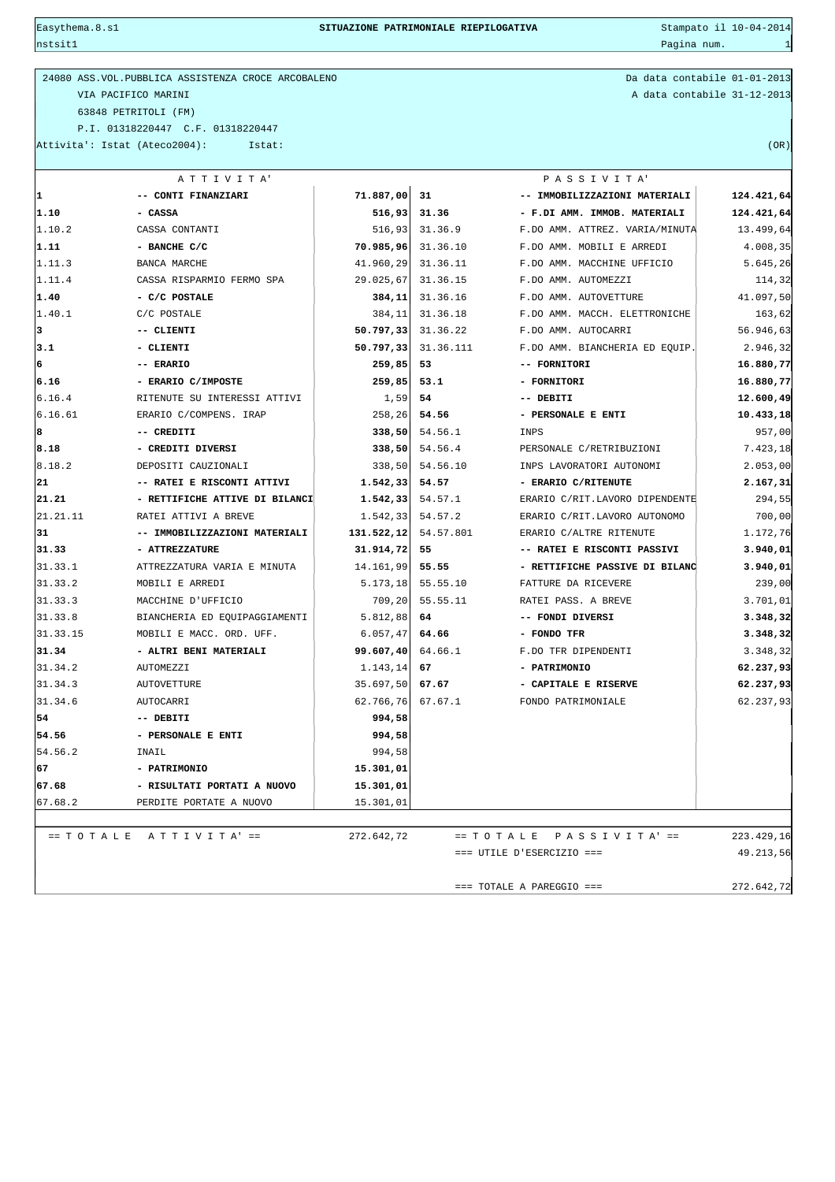$\frac{1}{2}$ nstsit $1$ 

| 24080 ASS. VOL. PUBBLICA ASSISTENZA CROCE ARCOBALENO | Da data contabile 01-01-2013 |
|------------------------------------------------------|------------------------------|
| VIA PACIFICO MARINI                                  | A data contabile 31-12-2013  |
| 63848 PETRITOLI (FM)                                 |                              |
| P.I. 01318220447 C.F. 01318220447                    |                              |
| Attivita': Istat (Ateco2004):<br>Istat:              | (OR)                         |
|                                                      |                              |

Da data contabile 01-01-2013 A data contabile 31-12-2013

|          | ATTIVITA'                           |            |           | PASSIVITA'                     |            |
|----------|-------------------------------------|------------|-----------|--------------------------------|------------|
| 1        | -- CONTI FINANZIARI                 | 71.887,00  | 31        | -- IMMOBILIZZAZIONI MATERIALI  | 124.421,64 |
| 1.10     | - CASSA                             | 516,93     | 31.36     | - F.DI AMM. IMMOB. MATERIALI   | 124.421,64 |
| 1.10.2   | CASSA CONTANTI                      | 516,93     | 31.36.9   | F.DO AMM. ATTREZ. VARIA/MINUTA | 13.499,64  |
| 1.11     | - BANCHE C/C                        | 70.985,96  | 31.36.10  | F.DO AMM. MOBILI E ARREDI      | 4.008,35   |
| 1.11.3   | <b>BANCA MARCHE</b>                 | 41.960,29  | 31.36.11  | F.DO AMM. MACCHINE UFFICIO     | 5.645,26   |
| 1.11.4   | CASSA RISPARMIO FERMO SPA           | 29.025,67  | 31.36.15  | F.DO AMM. AUTOMEZZI            | 114,32     |
| 1.40     | - C/C POSTALE                       | 384,11     | 31.36.16  | F.DO AMM. AUTOVETTURE          | 41.097,50  |
| 1.40.1   | C/C POSTALE                         | 384,11     | 31.36.18  | F.DO AMM. MACCH. ELETTRONICHE  | 163,62     |
| 3        | -- CLIENTI                          | 50.797,33  | 31.36.22  | F.DO AMM. AUTOCARRI            | 56.946,63  |
| 3.1      | - CLIENTI                           | 50.797, 33 | 31.36.111 | F.DO AMM. BIANCHERIA ED EQUIP. | 2.946,32   |
| 6        | -- ERARIO                           | 259,85     | 53        | -- FORNITORI                   | 16.880,77  |
| 6.16     | - ERARIO C/IMPOSTE                  | 259,85     | 53.1      | - FORNITORI                    | 16.880,77  |
| 6.16.4   | RITENUTE SU INTERESSI ATTIVI        | 1,59       | 54        | -- DEBITI                      | 12.600,49  |
| 6.16.61  | ERARIO C/COMPENS. IRAP              | 258, 26    | 54.56     | - PERSONALE E ENTI             | 10.433,18  |
| 8        | -- CREDITI                          | 338,50     | 54.56.1   | INPS                           | 957,00     |
| 8.18     | - CREDITI DIVERSI                   | 338,50     | 54.56.4   | PERSONALE C/RETRIBUZIONI       | 7.423,18   |
| 8.18.2   | DEPOSITI CAUZIONALI                 | 338,50     | 54.56.10  | INPS LAVORATORI AUTONOMI       | 2.053,00   |
| 21       | -- RATEI E RISCONTI ATTIVI          | 1.542,33   | 54.57     | - ERARIO C/RITENUTE            | 2.167,31   |
| 21.21    | - RETTIFICHE ATTIVE DI BILANCI      | 1.542,33   | 54.57.1   | ERARIO C/RIT.LAVORO DIPENDENTE | 294,55     |
| 21.21.11 | RATEI ATTIVI A BREVE                | 1.542,33   | 54.57.2   | ERARIO C/RIT.LAVORO AUTONOMO   | 700,00     |
| 31       | -- IMMOBILIZZAZIONI MATERIALI       | 131.522,12 | 54.57.801 | ERARIO C/ALTRE RITENUTE        | 1.172,76   |
| 31.33    | - ATTREZZATURE                      | 31.914,72  | 55        | -- RATEI E RISCONTI PASSIVI    | 3.940,01   |
| 31.33.1  | ATTREZZATURA VARIA E MINUTA         | 14.161,99  | 55.55     | - RETTIFICHE PASSIVE DI BILANC | 3.940,01   |
| 31.33.2  | MOBILI E ARREDI                     | 5.173, 18  | 55.55.10  | FATTURE DA RICEVERE            | 239,00     |
| 31.33.3  | MACCHINE D'UFFICIO                  | 709, 20    | 55.55.11  | RATEI PASS. A BREVE            | 3.701,01   |
| 31.33.8  | BIANCHERIA ED EQUIPAGGIAMENTI       | 5.812,88   | 64        | -- FONDI DIVERSI               | 3.348,32   |
| 31.33.15 | MOBILI E MACC. ORD. UFF.            | 6.057, 47  | 64.66     | - FONDO TFR                    | 3.348,32   |
| 31.34    | - ALTRI BENI MATERIALI              | 99.607,40  | 64.66.1   | F.DO TFR DIPENDENTI            | 3.348,32   |
| 31.34.2  | AUTOMEZZI                           | 1.143,14   | 67        | - PATRIMONIO                   | 62.237,93  |
| 31.34.3  | <b>AUTOVETTURE</b>                  | 35.697,50  | 67.67     | - CAPITALE E RISERVE           | 62.237,93  |
| 31.34.6  | <b>AUTOCARRI</b>                    | 62.766,76  | 67.67.1   | FONDO PATRIMONIALE             | 62.237,93  |
| 54       | -- DEBITI                           | 994,58     |           |                                |            |
| 54.56    | - PERSONALE E ENTI                  | 994,58     |           |                                |            |
| 54.56.2  | INAIL                               | 994,58     |           |                                |            |
| 67       | - PATRIMONIO                        | 15.301,01  |           |                                |            |
| 67.68    | - RISULTATI PORTATI A NUOVO         | 15.301,01  |           |                                |            |
| 67.68.2  | PERDITE PORTATE A NUOVO             | 15.301,01  |           |                                |            |
|          |                                     |            |           |                                |            |
|          | $== TO T A L E A T T I V I T A' ==$ | 272.642,72 |           | $== TO T ALE P ASSSIVITA' ==$  | 223.429,16 |
|          |                                     |            |           | $==$ UTILE D'ESERCIZIO ===     | 49.213,56  |
|          |                                     |            |           |                                |            |
|          |                                     |            |           | $==$ TOTALE A PAREGGIO ===     | 272.642,72 |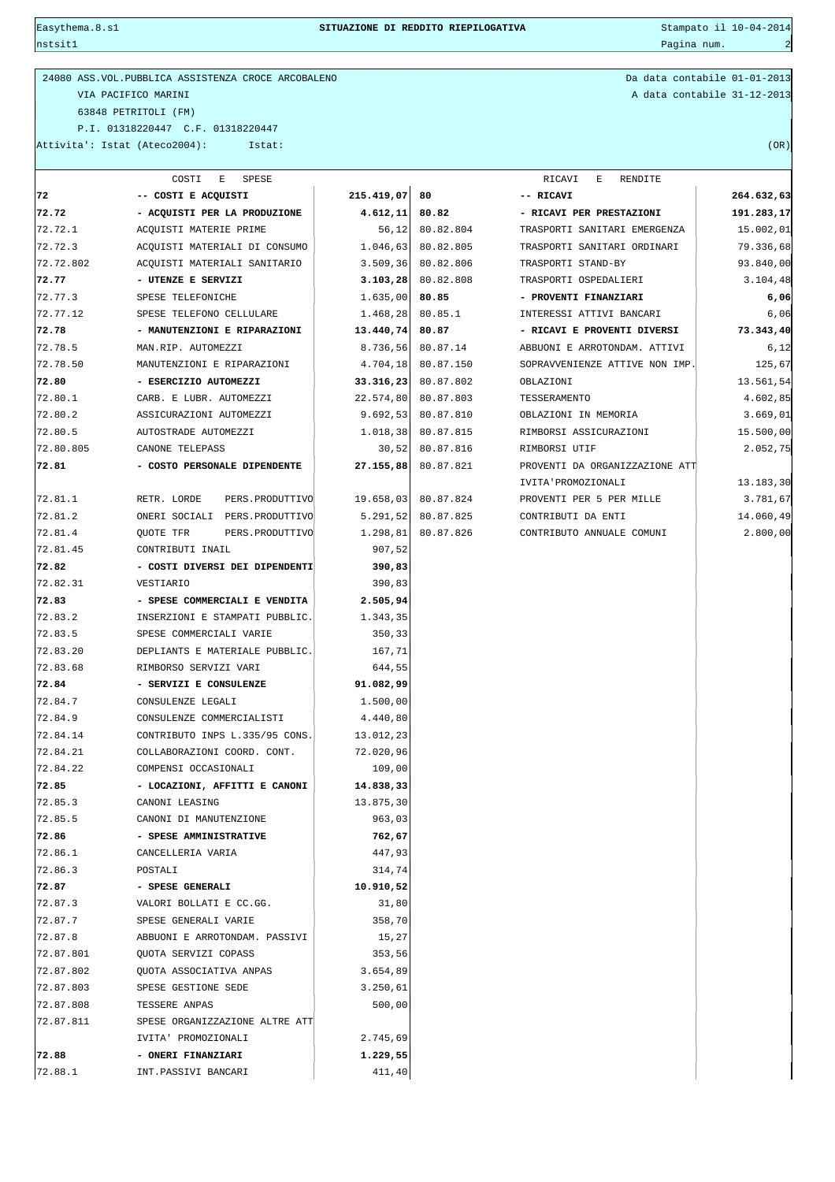nstsit1 Pagina num. 2

24080 ASS.VOL.PUBBLICA ASSISTENZA CROCE ARCOBALENO Da data contabile 01-01-2013 VIA PACIFICO MARINI A data contabile 31-12-2013 63848 PETRITOLI (FM) P.I. 01318220447 C.F. 01318220447 Attivita': Istat (Ateco2004): Istat: (OR)

|           | COSTI<br>Е<br>SPESE                       |                      |                        | RICAVI<br>Е<br>RENDITE         |            |
|-----------|-------------------------------------------|----------------------|------------------------|--------------------------------|------------|
| 72        | -- COSTI E ACQUISTI                       | 215.419,07 80        |                        | -- RICAVI                      | 264.632,63 |
| 72.72     | - ACQUISTI PER LA PRODUZIONE              | $4.612, 11$ 80.82    |                        | - RICAVI PER PRESTAZIONI       | 191.283,17 |
| 72.72.1   | ACQUISTI MATERIE PRIME                    |                      | 56,12 80.82.804        | TRASPORTI SANITARI EMERGENZA   | 15.002,01  |
| 72.72.3   | ACQUISTI MATERIALI DI CONSUMO             |                      | 1.046,63 80.82.805     | TRASPORTI SANITARI ORDINARI    | 79.336,68  |
| 72.72.802 | ACOUISTI MATERIALI SANITARIO              |                      | 3.509,36 80.82.806     | TRASPORTI STAND-BY             | 93.840,00  |
| 72.77     | - UTENZE E SERVIZI                        |                      | $3.103, 28$ 80.82.808  | TRASPORTI OSPEDALIERI          | 3.104,48   |
| 72.77.3   | SPESE TELEFONICHE                         | 1.635,00             | 80.85                  | - PROVENTI FINANZIARI          | 6,06       |
| 72.77.12  | SPESE TELEFONO CELLULARE                  | 1.468,28             | 80.85.1                | INTERESSI ATTIVI BANCARI       | 6,06       |
| 72.78     | - MANUTENZIONI E RIPARAZIONI              | 13.440,74 80.87      |                        | - RICAVI E PROVENTI DIVERSI    | 73.343,40  |
| 72.78.5   | MAN.RIP. AUTOMEZZI                        |                      | 8.736,56 80.87.14      | ABBUONI E ARROTONDAM. ATTIVI   | 6,12       |
| 72.78.50  | MANUTENZIONI E RIPARAZIONI                |                      | 4.704,18 80.87.150     | SOPRAVVENIENZE ATTIVE NON IMP. | 125,67     |
| 72.80     | - ESERCIZIO AUTOMEZZI                     |                      | $33.316, 23$ 80.87.802 | OBLAZIONI                      | 13.561,54  |
| 72.80.1   | CARB. E LUBR. AUTOMEZZI                   |                      | 22.574,80 80.87.803    | TESSERAMENTO                   | 4.602,85   |
| 72.80.2   | ASSICURAZIONI AUTOMEZZI                   |                      | 9.692,53 80.87.810     | OBLAZIONI IN MEMORIA           | 3.669,01   |
| 72.80.5   | AUTOSTRADE AUTOMEZZI                      |                      | 1.018,38 80.87.815     | RIMBORSI ASSICURAZIONI         | 15.500,00  |
| 72.80.805 | CANONE TELEPASS                           |                      | 30,52 80.87.816        | RIMBORSI UTIF                  | 2.052,75   |
| 72.81     | - COSTO PERSONALE DIPENDENTE              |                      | 27.155,88 80.87.821    | PROVENTI DA ORGANIZZAZIONE ATT |            |
|           |                                           |                      |                        | IVITA'PROMOZIONALI             | 13.183,30  |
| 72.81.1   | RETR. LORDE<br>PERS. PRODUTTIVO           |                      | 19.658,03 80.87.824    | PROVENTI PER 5 PER MILLE       | 3.781,67   |
| 72.81.2   | ONERI SOCIALI PERS. PRODUTTIVO            |                      | 5.291,52 80.87.825     | CONTRIBUTI DA ENTI             | 14.060,49  |
| 72.81.4   | QUOTE TFR<br>PERS. PRODUTTIVO             | 1.298, 81            | 80.87.826              | CONTRIBUTO ANNUALE COMUNI      | 2.800,00   |
| 72.81.45  | CONTRIBUTI INAIL                          | 907,52               |                        |                                |            |
| 72.82     | - COSTI DIVERSI DEI DIPENDENTI            | 390,83               |                        |                                |            |
| 72.82.31  | VESTIARIO                                 | 390,83               |                        |                                |            |
| 72.83     | - SPESE COMMERCIALI E VENDITA             | 2.505,94             |                        |                                |            |
| 72.83.2   | INSERZIONI E STAMPATI PUBBLIC.            | 1.343,35             |                        |                                |            |
| 72.83.5   | SPESE COMMERCIALI VARIE                   | 350,33               |                        |                                |            |
| 72.83.20  | DEPLIANTS E MATERIALE PUBBLIC.            | 167,71               |                        |                                |            |
| 72.83.68  | RIMBORSO SERVIZI VARI                     | 644,55               |                        |                                |            |
| 72.84     | - SERVIZI E CONSULENZE                    | 91.082,99            |                        |                                |            |
| 72.84.7   | CONSULENZE LEGALI                         | 1.500,00             |                        |                                |            |
| 72.84.9   | CONSULENZE COMMERCIALISTI                 | 4.440,80             |                        |                                |            |
| 72.84.14  | CONTRIBUTO INPS L.335/95 CONS.            | 13.012,23            |                        |                                |            |
| 72.84.21  | COLLABORAZIONI COORD. CONT.               | 72.020,96            |                        |                                |            |
| 72.84.22  | COMPENSI OCCASIONALI                      | 109,00               |                        |                                |            |
| 72.85     | - LOCAZIONI, AFFITTI E CANONI             | 14.838,33            |                        |                                |            |
| 72.85.3   | CANONI LEASING                            | 13.875,30            |                        |                                |            |
| 72.85.5   | CANONI DI MANUTENZIONE                    | 963,03               |                        |                                |            |
| 72.86     | - SPESE AMMINISTRATIVE                    | 762,67               |                        |                                |            |
| 72.86.1   | CANCELLERIA VARIA                         | 447,93               |                        |                                |            |
| 72.86.3   | POSTALI                                   | 314,74               |                        |                                |            |
| 72.87     | - SPESE GENERALI                          | 10.910,52            |                        |                                |            |
| 72.87.3   | VALORI BOLLATI E CC.GG.                   | 31,80                |                        |                                |            |
| 72.87.7   | SPESE GENERALI VARIE                      | 358,70               |                        |                                |            |
| 72.87.8   | ABBUONI E ARROTONDAM. PASSIVI             | 15,27                |                        |                                |            |
| 72.87.801 | QUOTA SERVIZI COPASS                      | 353,56               |                        |                                |            |
| 72.87.802 | QUOTA ASSOCIATIVA ANPAS                   | 3.654,89             |                        |                                |            |
| 72.87.803 | SPESE GESTIONE SEDE                       | 3.250,61             |                        |                                |            |
| 72.87.808 | TESSERE ANPAS                             | 500,00               |                        |                                |            |
| 72.87.811 | SPESE ORGANIZZAZIONE ALTRE ATT            |                      |                        |                                |            |
| 72.88     | IVITA' PROMOZIONALI<br>- ONERI FINANZIARI | 2.745,69<br>1.229,55 |                        |                                |            |
| 72.88.1   | INT.PASSIVI BANCARI                       | 411,40               |                        |                                |            |
|           |                                           |                      |                        |                                |            |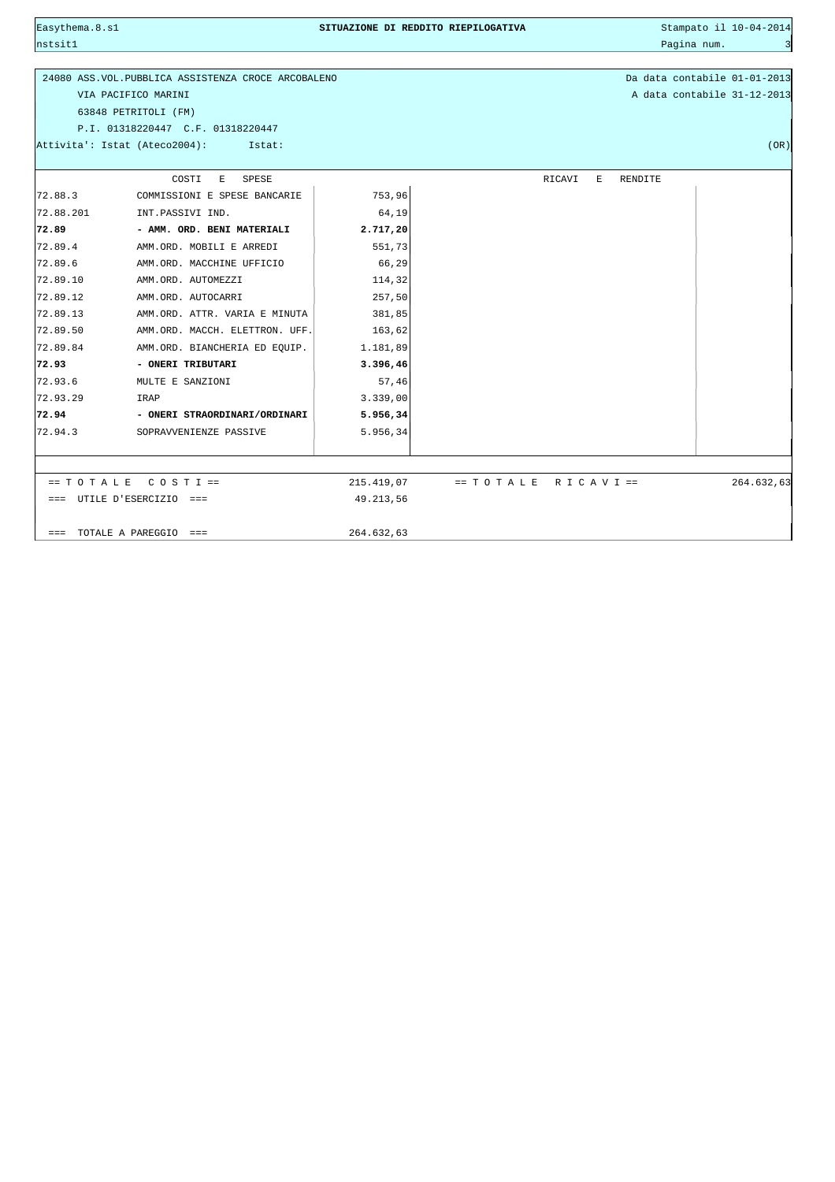Easythema.8.s1 **SITUAZIONE DI REDDITO RIEPILOGATIVA** Stampato il 10-04-2014 nstsit1 Pagina num. 3 September 2008 - 2008 - 2008 - 2008 - 2008 - 2008 - 2008 - 2008 - 2008 - 2008 - 2008 - 3 24080 ASS.VOL.PUBBLICA ASSISTENZA CROCE ARCOBALENO Da data contabile 01-01-2013 VIA PACIFICO MARINI A data contabile 31-12-2013 63848 PETRITOLI (FM) P.I. 01318220447 C.F. 01318220447 Attivita': Istat (Ateco2004): Istat: (OR) COSTI E SPESE RICAVI E RENDITE  $72.88.3$  COMMISSIONI E SPESE BANCARIE  $\vert$  753,96 |<br>| 72.88.201 INT.PASSIVI IND. | 64,19 **72.89 - AMM. ORD. BENI MATERIALI 2.717,20** |<br>| 72.89.4 AMM.ORD. MOBILI E ARREDI 551,73 72.89.6 AMM.ORD. MACCHINE UFFICIO 66,29 72.89.10 AMM.ORD. AUTOMEZZI 114,32 72.89.12 AMM.ORD. AUTOCARRI 257,50  $|72.89.13$  AMM.ORD. ATTR. VARIA E MINUTA  $|$  381,85  $72.89.50$  AMM.ORD. MACCH. ELETTRON. UFF. 163,62 72.89.84 AMM.ORD. BIANCHERIA ED EQUIP. 1.181,89 **72.93 - ONERI TRIBUTARI 3.396,46** 72.93.6 MULTE E SANZIONI 57,46 72.93.29 IRAP 3.339,00 **72.94 - ONERI STRAORDINARI/ORDINARI 5.956,34** |<br>| 72.94.3 SOPRAVVENIENZE PASSIVE | 5.956,34 == T O T A L E C O S T I == 215.419,07 == T O T A L E R I C A V I == 264.632,63 === UTILE D'ESERCIZIO === 49.213,56  $==$  TOTALE A PAREGGIO  $==$  264.632.63